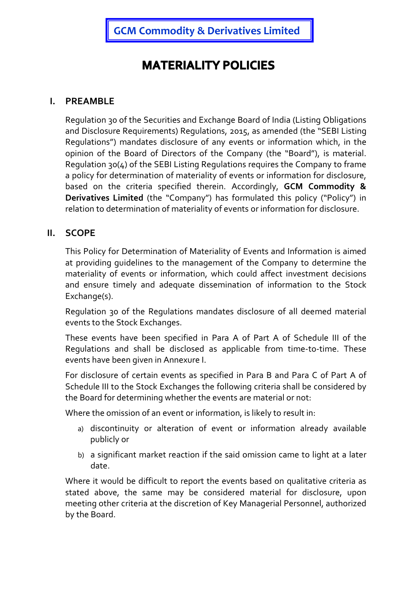GCM Commodity & Derivatives Limited

# **MATERIALITY POLICIES**

#### I. PREAMBLE

Regulation 30 of the Securities and Exchange Board of India (Listing Obligations and Disclosure Requirements) Regulations, 2015, as amended (the "SEBI Listing Regulations") mandates disclosure of any events or information which, in the opinion of the Board of Directors of the Company (the "Board"), is material. Regulation 30(4) of the SEBI Listing Regulations requires the Company to frame a policy for determination of materiality of events or information for disclosure, based on the criteria specified therein. Accordingly, GCM Commodity & Derivatives Limited (the "Company") has formulated this policy ("Policy") in relation to determination of materiality of events or information for disclosure.

## II. SCOPE

This Policy for Determination of Materiality of Events and Information is aimed at providing guidelines to the management of the Company to determine the materiality of events or information, which could affect investment decisions and ensure timely and adequate dissemination of information to the Stock Exchange(s).

Regulation 30 of the Regulations mandates disclosure of all deemed material events to the Stock Exchanges.

These events have been specified in Para A of Part A of Schedule III of the Regulations and shall be disclosed as applicable from time-to-time. These events have been given in Annexure I.

For disclosure of certain events as specified in Para B and Para C of Part A of Schedule III to the Stock Exchanges the following criteria shall be considered by the Board for determining whether the events are material or not:

Where the omission of an event or information, is likely to result in:

- a) discontinuity or alteration of event or information already available publicly or
- b) a significant market reaction if the said omission came to light at a later date.

Where it would be difficult to report the events based on qualitative criteria as stated above, the same may be considered material for disclosure, upon meeting other criteria at the discretion of Key Managerial Personnel, authorized by the Board.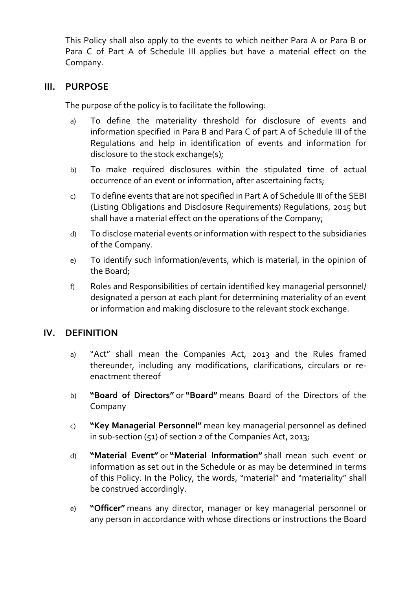This Policy shall also apply to the events to which neither Para A or Para B or Para C of Part A of Schedule III applies but have a material effect on the Company.

#### III. PURPOSE

The purpose of the policy is to facilitate the following:

- a) To define the materiality threshold for disclosure of events and information specified in Para B and Para C of part A of Schedule III of the Regulations and help in identification of events and information for disclosure to the stock exchange(s);
- b) To make required disclosures within the stipulated time of actual occurrence of an event or information, after ascertaining facts;
- c) To define events that are not specified in Part A of Schedule III of the SEBI (Listing Obligations and Disclosure Requirements) Regulations, 2015 but shall have a material effect on the operations of the Company;
- d) To disclose material events or information with respect to the subsidiaries of the Company.
- e) To identify such information/events, which is material, in the opinion of the Board;
- f) Roles and Responsibilities of certain identified key managerial personnel/ designated a person at each plant for determining materiality of an event or information and making disclosure to the relevant stock exchange.

#### IV. DEFINITION

- a) "Act" shall mean the Companies Act, 2013 and the Rules framed thereunder, including any modifications, clarifications, circulars or reenactment thereof
- b) "Board of Directors" or "Board" means Board of the Directors of the Company
- c) "Key Managerial Personnel" mean key managerial personnel as defined in sub-section (51) of section 2 of the Companies Act, 2013;
- d) "Material Event" or "Material Information" shall mean such event or information as set out in the Schedule or as may be determined in terms of this Policy. In the Policy, the words, "material" and "materiality" shall be construed accordingly.
- e) "Officer" means any director, manager or key managerial personnel or any person in accordance with whose directions or instructions the Board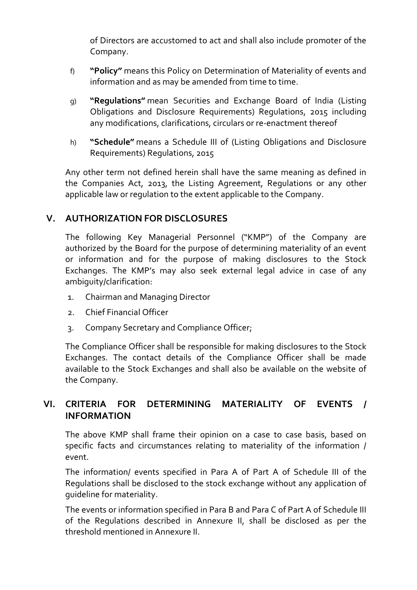of Directors are accustomed to act and shall also include promoter of the Company.

- f) "Policy" means this Policy on Determination of Materiality of events and information and as may be amended from time to time.
- g) "Regulations" mean Securities and Exchange Board of India (Listing Obligations and Disclosure Requirements) Regulations, 2015 including any modifications, clarifications, circulars or re-enactment thereof
- h) "Schedule" means a Schedule III of (Listing Obligations and Disclosure Requirements) Regulations, 2015

Any other term not defined herein shall have the same meaning as defined in the Companies Act, 2013, the Listing Agreement, Regulations or any other applicable law or regulation to the extent applicable to the Company.

## V. AUTHORIZATION FOR DISCLOSURES

The following Key Managerial Personnel ("KMP") of the Company are authorized by the Board for the purpose of determining materiality of an event or information and for the purpose of making disclosures to the Stock Exchanges. The KMP's may also seek external legal advice in case of any ambiguity/clarification:

- 1. Chairman and Managing Director
- 2. Chief Financial Officer
- 3. Company Secretary and Compliance Officer;

The Compliance Officer shall be responsible for making disclosures to the Stock Exchanges. The contact details of the Compliance Officer shall be made available to the Stock Exchanges and shall also be available on the website of the Company.

# VI. CRITERIA FOR DETERMINING MATERIALITY OF EVENTS / INFORMATION

The above KMP shall frame their opinion on a case to case basis, based on specific facts and circumstances relating to materiality of the information / event.

The information/ events specified in Para A of Part A of Schedule III of the Regulations shall be disclosed to the stock exchange without any application of guideline for materiality.

The events or information specified in Para B and Para C of Part A of Schedule III of the Regulations described in Annexure II, shall be disclosed as per the threshold mentioned in Annexure II.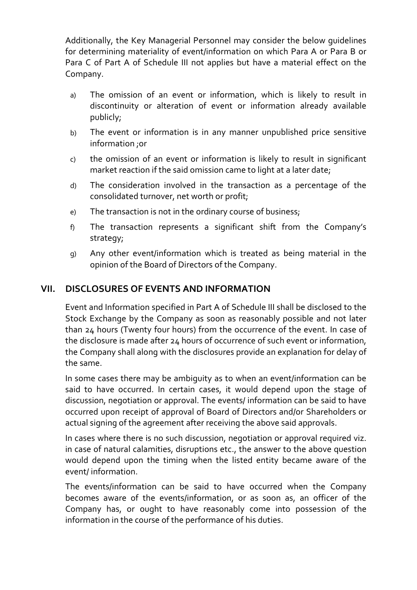Additionally, the Key Managerial Personnel may consider the below guidelines for determining materiality of event/information on which Para A or Para B or Para C of Part A of Schedule III not applies but have a material effect on the Company.

- a) The omission of an event or information, which is likely to result in discontinuity or alteration of event or information already available publicly;
- b) The event or information is in any manner unpublished price sensitive information ;or
- c) the omission of an event or information is likely to result in significant market reaction if the said omission came to light at a later date;
- d) The consideration involved in the transaction as a percentage of the consolidated turnover, net worth or profit;
- e) The transaction is not in the ordinary course of business;
- f) The transaction represents a significant shift from the Company's strategy;
- g) Any other event/information which is treated as being material in the opinion of the Board of Directors of the Company.

#### VII. DISCLOSURES OF EVENTS AND INFORMATION

Event and Information specified in Part A of Schedule III shall be disclosed to the Stock Exchange by the Company as soon as reasonably possible and not later than 24 hours (Twenty four hours) from the occurrence of the event. In case of the disclosure is made after 24 hours of occurrence of such event or information, the Company shall along with the disclosures provide an explanation for delay of the same.

In some cases there may be ambiguity as to when an event/information can be said to have occurred. In certain cases, it would depend upon the stage of discussion, negotiation or approval. The events/ information can be said to have occurred upon receipt of approval of Board of Directors and/or Shareholders or actual signing of the agreement after receiving the above said approvals.

In cases where there is no such discussion, negotiation or approval required viz. in case of natural calamities, disruptions etc., the answer to the above question would depend upon the timing when the listed entity became aware of the event/ information.

The events/information can be said to have occurred when the Company becomes aware of the events/information, or as soon as, an officer of the Company has, or ought to have reasonably come into possession of the information in the course of the performance of his duties.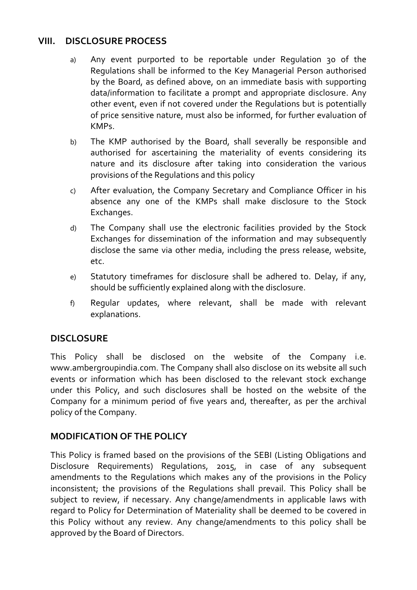## VIII. DISCLOSURE PROCESS

- a) Any event purported to be reportable under Regulation 30 of the Regulations shall be informed to the Key Managerial Person authorised by the Board, as defined above, on an immediate basis with supporting data/information to facilitate a prompt and appropriate disclosure. Any other event, even if not covered under the Regulations but is potentially of price sensitive nature, must also be informed, for further evaluation of KMPs.
- b) The KMP authorised by the Board, shall severally be responsible and authorised for ascertaining the materiality of events considering its nature and its disclosure after taking into consideration the various provisions of the Regulations and this policy
- c) After evaluation, the Company Secretary and Compliance Officer in his absence any one of the KMPs shall make disclosure to the Stock Exchanges.
- d) The Company shall use the electronic facilities provided by the Stock Exchanges for dissemination of the information and may subsequently disclose the same via other media, including the press release, website, etc.
- e) Statutory timeframes for disclosure shall be adhered to. Delay, if any, should be sufficiently explained along with the disclosure.
- f) Regular updates, where relevant, shall be made with relevant explanations.

# **DISCLOSURE**

This Policy shall be disclosed on the website of the Company i.e. www.ambergroupindia.com. The Company shall also disclose on its website all such events or information which has been disclosed to the relevant stock exchange under this Policy, and such disclosures shall be hosted on the website of the Company for a minimum period of five years and, thereafter, as per the archival policy of the Company.

# MODIFICATION OF THE POLICY

This Policy is framed based on the provisions of the SEBI (Listing Obligations and Disclosure Requirements) Regulations, 2015, in case of any subsequent amendments to the Regulations which makes any of the provisions in the Policy inconsistent; the provisions of the Regulations shall prevail. This Policy shall be subject to review, if necessary. Any change/amendments in applicable laws with regard to Policy for Determination of Materiality shall be deemed to be covered in this Policy without any review. Any change/amendments to this policy shall be approved by the Board of Directors.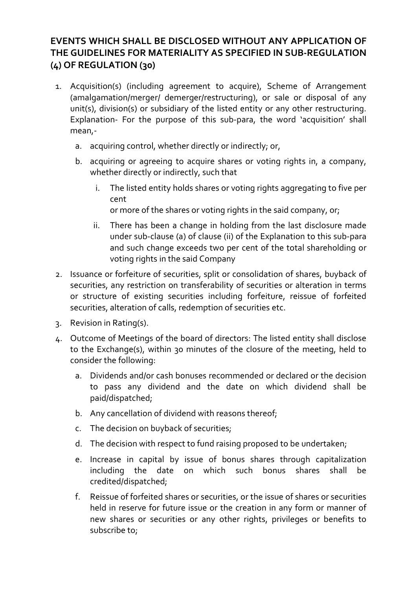# EVENTS WHICH SHALL BE DISCLOSED WITHOUT ANY APPLICATION OF THE GUIDELINES FOR MATERIALITY AS SPECIFIED IN SUB-REGULATION (4) OF REGULATION (30)

- 1. Acquisition(s) (including agreement to acquire), Scheme of Arrangement (amalgamation/merger/ demerger/restructuring), or sale or disposal of any unit(s), division(s) or subsidiary of the listed entity or any other restructuring. Explanation- For the purpose of this sub-para, the word 'acquisition' shall mean,
	- a. acquiring control, whether directly or indirectly; or,
	- b. acquiring or agreeing to acquire shares or voting rights in, a company, whether directly or indirectly, such that
		- i. The listed entity holds shares or voting rights aggregating to five per cent

or more of the shares or voting rights in the said company, or;

- ii. There has been a change in holding from the last disclosure made under sub-clause (a) of clause (ii) of the Explanation to this sub-para and such change exceeds two per cent of the total shareholding or voting rights in the said Company
- 2. Issuance or forfeiture of securities, split or consolidation of shares, buyback of securities, any restriction on transferability of securities or alteration in terms or structure of existing securities including forfeiture, reissue of forfeited securities, alteration of calls, redemption of securities etc.
- 3. Revision in Rating(s).
- 4. Outcome of Meetings of the board of directors: The listed entity shall disclose to the Exchange(s), within 30 minutes of the closure of the meeting, held to consider the following:
	- a. Dividends and/or cash bonuses recommended or declared or the decision to pass any dividend and the date on which dividend shall be paid/dispatched;
	- b. Any cancellation of dividend with reasons thereof;
	- c. The decision on buyback of securities;
	- d. The decision with respect to fund raising proposed to be undertaken;
	- e. Increase in capital by issue of bonus shares through capitalization including the date on which such bonus shares shall be credited/dispatched;
	- f. Reissue of forfeited shares or securities, or the issue of shares or securities held in reserve for future issue or the creation in any form or manner of new shares or securities or any other rights, privileges or benefits to subscribe to;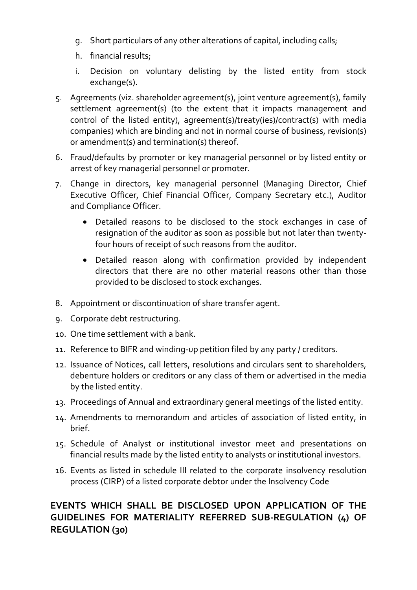- g. Short particulars of any other alterations of capital, including calls;
- h. financial results;
- i. Decision on voluntary delisting by the listed entity from stock exchange(s).
- 5. Agreements (viz. shareholder agreement(s), joint venture agreement(s), family settlement agreement(s) (to the extent that it impacts management and control of the listed entity), agreement(s)/treaty(ies)/contract(s) with media companies) which are binding and not in normal course of business, revision(s) or amendment(s) and termination(s) thereof.
- 6. Fraud/defaults by promoter or key managerial personnel or by listed entity or arrest of key managerial personnel or promoter.
- 7. Change in directors, key managerial personnel (Managing Director, Chief Executive Officer, Chief Financial Officer, Company Secretary etc.), Auditor and Compliance Officer.
	- Detailed reasons to be disclosed to the stock exchanges in case of resignation of the auditor as soon as possible but not later than twentyfour hours of receipt of such reasons from the auditor.
	- Detailed reason along with confirmation provided by independent directors that there are no other material reasons other than those provided to be disclosed to stock exchanges.
- 8. Appointment or discontinuation of share transfer agent.
- 9. Corporate debt restructuring.
- 10. One time settlement with a bank.
- 11. Reference to BIFR and winding-up petition filed by any party / creditors.
- 12. Issuance of Notices, call letters, resolutions and circulars sent to shareholders, debenture holders or creditors or any class of them or advertised in the media by the listed entity.
- 13. Proceedings of Annual and extraordinary general meetings of the listed entity.
- 14. Amendments to memorandum and articles of association of listed entity, in brief.
- 15. Schedule of Analyst or institutional investor meet and presentations on financial results made by the listed entity to analysts or institutional investors.
- 16. Events as listed in schedule III related to the corporate insolvency resolution process (CIRP) of a listed corporate debtor under the Insolvency Code

# EVENTS WHICH SHALL BE DISCLOSED UPON APPLICATION OF THE GUIDELINES FOR MATERIALITY REFERRED SUB-REGULATION (4) OF REGULATION (30)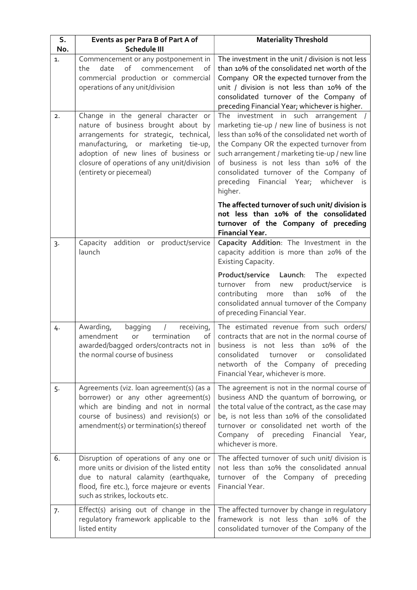| S.    | Events as per Para B of Part A of                                                                                                                                                                                                                                           | <b>Materiality Threshold</b>                                                                                                                                                                                                                                                                                                                                                            |  |
|-------|-----------------------------------------------------------------------------------------------------------------------------------------------------------------------------------------------------------------------------------------------------------------------------|-----------------------------------------------------------------------------------------------------------------------------------------------------------------------------------------------------------------------------------------------------------------------------------------------------------------------------------------------------------------------------------------|--|
| No.   | <b>Schedule III</b>                                                                                                                                                                                                                                                         |                                                                                                                                                                                                                                                                                                                                                                                         |  |
| 1.    | Commencement or any postponement in<br>of<br>date<br>commencement<br>the<br>of<br>commercial production or commercial<br>operations of any unit/division                                                                                                                    | The investment in the unit / division is not less<br>than 10% of the consolidated net worth of the<br>Company OR the expected turnover from the<br>unit / division is not less than 10% of the<br>consolidated turnover of the Company of<br>preceding Financial Year; whichever is higher.                                                                                             |  |
| 2.    | Change in the general character or<br>nature of business brought about by<br>arrangements for strategic, technical,<br>manufacturing, or marketing tie-up,<br>adoption of new lines of business or<br>closure of operations of any unit/division<br>(entirety or piecemeal) | The investment in such arrangement /<br>marketing tie-up / new line of business is not<br>less than 10% of the consolidated net worth of<br>the Company OR the expected turnover from<br>such arrangement / marketing tie-up / new line<br>of business is not less than 10% of the<br>consolidated turnover of the Company of<br>preceding Financial Year; whichever<br>is i<br>higher. |  |
|       |                                                                                                                                                                                                                                                                             | The affected turnover of such unit/ division is<br>not less than 10% of the consolidated<br>turnover of the Company of preceding<br><b>Financial Year.</b>                                                                                                                                                                                                                              |  |
| $3 -$ | addition or product/service<br>Capacity<br>launch                                                                                                                                                                                                                           | Capacity Addition: The Investment in the<br>capacity addition is more than 20% of the<br>Existing Capacity.                                                                                                                                                                                                                                                                             |  |
|       |                                                                                                                                                                                                                                                                             | Launch:<br><b>Product/service</b><br>The<br>expected<br>from<br>product/service<br>turnover<br>new<br>is<br>than<br>10%<br>contributing<br>of<br>the<br>more<br>consolidated annual turnover of the Company<br>of preceding Financial Year.                                                                                                                                             |  |
| 4.    | Awarding,<br>bagging<br>$\sqrt{ }$<br>receiving,<br>termination<br>amendment<br>of<br>or<br>awarded/bagged orders/contracts not in<br>the normal course of business                                                                                                         | The estimated revenue from such orders/<br>contracts that are not in the normal course of<br>business is not less than 10% of the<br>consolidated<br>consolidated<br>turnover<br>or<br>networth of the Company of preceding<br>Financial Year, whichever is more.                                                                                                                       |  |
| 5.    | Agreements (viz. loan agreement(s) (as a<br>borrower) or any other agreement(s)<br>which are binding and not in normal<br>course of business) and revision(s) or<br>amendment(s) or termination(s) thereof                                                                  | The agreement is not in the normal course of<br>business AND the quantum of borrowing, or<br>the total value of the contract, as the case may<br>be, is not less than 10% of the consolidated<br>turnover or consolidated net worth of the<br>Company of preceding Financial<br>Year,<br>whichever is more.                                                                             |  |
| 6.    | Disruption of operations of any one or<br>more units or division of the listed entity<br>due to natural calamity (earthquake,<br>flood, fire etc.), force majeure or events<br>such as strikes, lockouts etc.                                                               | The affected turnover of such unit/ division is<br>not less than 10% the consolidated annual<br>turnover of the Company of preceding<br>Financial Year.                                                                                                                                                                                                                                 |  |
| 7.    | Effect(s) arising out of change in the<br>regulatory framework applicable to the<br>listed entity                                                                                                                                                                           | The affected turnover by change in regulatory<br>framework is not less than 10% of the<br>consolidated turnover of the Company of the                                                                                                                                                                                                                                                   |  |